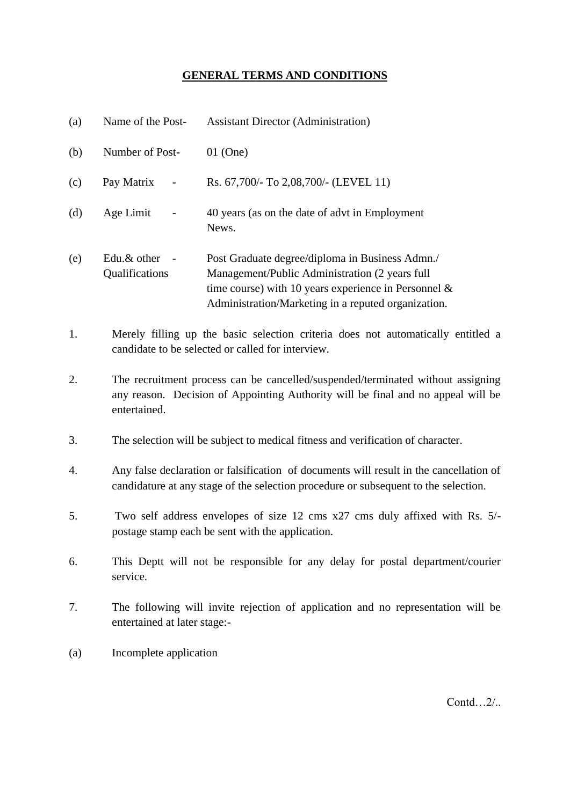## **GENERAL TERMS AND CONDITIONS**

| (a) | Name of the Post-                                                                                                                                                                   | <b>Assistant Director (Administration)</b>                                                                                                                                                                          |
|-----|-------------------------------------------------------------------------------------------------------------------------------------------------------------------------------------|---------------------------------------------------------------------------------------------------------------------------------------------------------------------------------------------------------------------|
| (b) | Number of Post-                                                                                                                                                                     | $01$ (One)                                                                                                                                                                                                          |
| (c) | Pay Matrix                                                                                                                                                                          | Rs. 67,700/- To 2,08,700/- (LEVEL 11)                                                                                                                                                                               |
| (d) | Age Limit                                                                                                                                                                           | 40 years (as on the date of advt in Employment<br>News.                                                                                                                                                             |
| (e) | Edu.& other<br>Qualifications                                                                                                                                                       | Post Graduate degree/diploma in Business Admn./<br>Management/Public Administration (2 years full<br>time course) with 10 years experience in Personnel $\&$<br>Administration/Marketing in a reputed organization. |
| 1.  | Merely filling up the basic selection criteria does not automatically entitled a<br>candidate to be selected or called for interview.                                               |                                                                                                                                                                                                                     |
| 2.  | The recruitment process can be cancelled/suspended/terminated without assigning<br>any reason. Decision of Appointing Authority will be final and no appeal will be<br>entertained. |                                                                                                                                                                                                                     |
| 3.  | The selection will be subject to medical fitness and verification of character.                                                                                                     |                                                                                                                                                                                                                     |
| 4.  | Any false declaration or falsification of documents will result in the cancellation of<br>candidature at any stage of the selection procedure or subsequent to the selection.       |                                                                                                                                                                                                                     |
| 5.  | Two self address envelopes of size 12 cms x27 cms duly affixed with Rs. 5/-<br>postage stamp each be sent with the application.                                                     |                                                                                                                                                                                                                     |
| 6.  | This Deptt will not be responsible for any delay for postal department/courier<br>service.                                                                                          |                                                                                                                                                                                                                     |
| 7.  | The following will invite rejection of application and no representation will be<br>entertained at later stage:-                                                                    |                                                                                                                                                                                                                     |
| (a) | Incomplete application                                                                                                                                                              |                                                                                                                                                                                                                     |

Contd…2/..